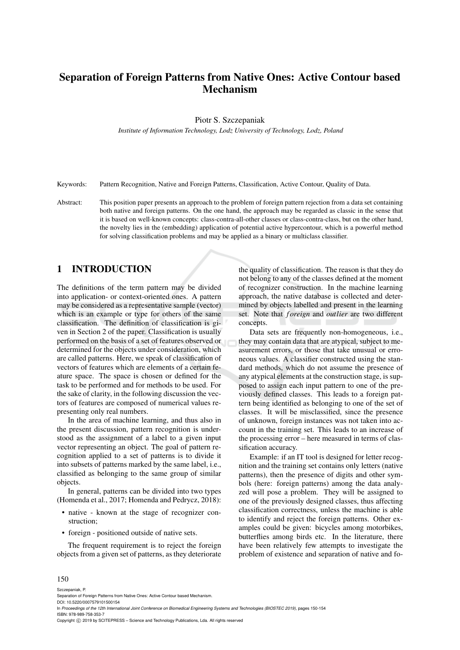# Separation of Foreign Patterns from Native Ones: Active Contour based Mechanism

Piotr S. Szczepaniak

*Institute of Information Technology, Lodz University of Technology, Lodz, Poland*

Keywords: Pattern Recognition, Native and Foreign Patterns, Classification, Active Contour, Quality of Data.

Abstract: This position paper presents an approach to the problem of foreign pattern rejection from a data set containing both native and foreign patterns. On the one hand, the approach may be regarded as classic in the sense that it is based on well-known concepts: class-contra-all-other classes or class-contra-class, but on the other hand, the novelty lies in the (embedding) application of potential active hypercontour, which is a powerful method for solving classification problems and may be applied as a binary or multiclass classifier.

# 1 INTRODUCTION

The definitions of the term pattern may be divided into application- or context-oriented ones. A pattern may be considered as a representative sample (vector) which is an example or type for others of the same classification. The definition of classification is given in Section 2 of the paper. Classification is usually performed on the basis of a set of features observed or determined for the objects under consideration, which are called patterns. Here, we speak of classification of vectors of features which are elements of a certain feature space. The space is chosen or defined for the task to be performed and for methods to be used. For the sake of clarity, in the following discussion the vectors of features are composed of numerical values representing only real numbers.

In the area of machine learning, and thus also in the present discussion, pattern recognition is understood as the assignment of a label to a given input vector representing an object. The goal of pattern recognition applied to a set of patterns is to divide it into subsets of patterns marked by the same label, i.e., classified as belonging to the same group of similar objects.

In general, patterns can be divided into two types (Homenda et al., 2017; Homenda and Pedrycz, 2018):

- native known at the stage of recognizer construction;
- foreign positioned outside of native sets.

The frequent requirement is to reject the foreign objects from a given set of patterns, as they deteriorate

the quality of classification. The reason is that they do not belong to any of the classes defined at the moment of recognizer construction. In the machine learning approach, the native database is collected and determined by objects labelled and present in the learning set. Note that *f oreign* and *outlier* are two different concepts.

Data sets are frequently non-homogeneous, i.e., they may contain data that are atypical, subject to measurement errors, or those that take unusual or erroneous values. A classifier constructed using the standard methods, which do not assume the presence of any atypical elements at the construction stage, is supposed to assign each input pattern to one of the previously defined classes. This leads to a foreign pattern being identified as belonging to one of the set of classes. It will be misclassified, since the presence of unknown, foreign instances was not taken into account in the training set. This leads to an increase of the processing error – here measured in terms of classification accuracy.

Example: if an IT tool is designed for letter recognition and the training set contains only letters (native patterns), then the presence of digits and other symbols (here: foreign patterns) among the data analyzed will pose a problem. They will be assigned to one of the previously designed classes, thus affecting classification correctness, unless the machine is able to identify and reject the foreign patterns. Other examples could be given: bicycles among motorbikes, butterflies among birds etc. In the literature, there have been relatively few attempts to investigate the problem of existence and separation of native and fo-

#### 150

Szczepaniak, P.

Separation of Foreign Patterns from Native Ones: Active Contour based Mechanism

DOI: 10.5220/0007579101500154

In *Proceedings of the 12th International Joint Conference on Biomedical Engineering Systems and Technologies (BIOSTEC 2019)*, pages 150-154 ISBN: 978-989-758-353-7

Copyright (C) 2019 by SCITEPRESS - Science and Technology Publications, Lda. All rights reserved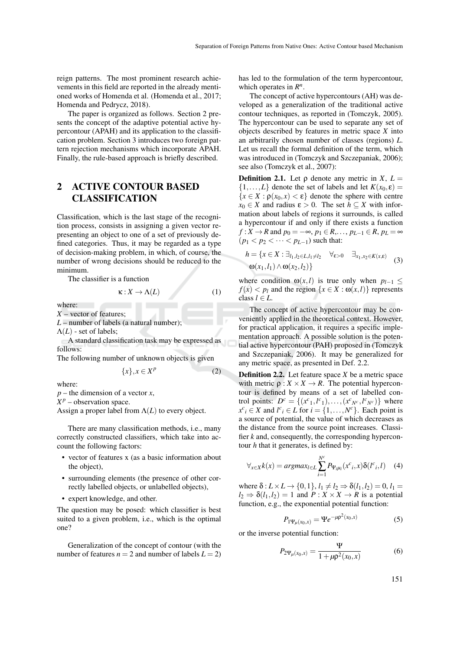reign patterns. The most prominent research achievements in this field are reported in the already mentioned works of Homenda et al. (Homenda et al., 2017; Homenda and Pedrycz, 2018).

The paper is organized as follows. Section 2 presents the concept of the adaptive potential active hypercontour (APAH) and its application to the classification problem. Section 3 introduces two foreign pattern rejection mechanisms which incorporate APAH. Finally, the rule-based approach is briefly described.

# 2 ACTIVE CONTOUR BASED CLASSIFICATION

Classification, which is the last stage of the recognition process, consists in assigning a given vector representing an object to one of a set of previously defined categories. Thus, it may be regarded as a type of decision-making problem, in which, of course, the number of wrong decisions should be reduced to the minimum.

The classifier is a function

 $\kappa: X \to \Lambda(L)$  (1)

where:

*X* – vector of features;

*L* – number of labels (a natural number);

 $\Lambda(L)$  - set of labels;

A standard classification task may be expressed as follows:

The following number of unknown objects is given

$$
\{x\}, x \in X^p \tag{2}
$$

where:

*p* – the dimension of a vector *x*,

 $X^p$  – observation space.

Assign a proper label from  $\Lambda(L)$  to every object.

There are many classification methods, i.e., many correctly constructed classifiers, which take into account the following factors:

- vector of features x (as a basic information about the object),
- surrounding elements (the presence of other correctly labelled objects, or unlabelled objects),
- expert knowledge, and other.

The question may be posed: which classifier is best suited to a given problem, i.e., which is the optimal one?

Generalization of the concept of contour (with the number of features  $n = 2$  and number of labels  $L = 2$ )

has led to the formulation of the term hypercontour, which operates in  $R^n$ .

The concept of active hypercontours (AH) was developed as a generalization of the traditional active contour techniques, as reported in (Tomczyk, 2005). The hypercontour can be used to separate any set of objects described by features in metric space *X* into an arbitrarily chosen number of classes (regions) *L*. Let us recall the formal definition of the term, which was introduced in (Tomczyk and Szczepaniak, 2006); see also (Tomczyk et al., 2007):

**Definition 2.1.** Let  $\rho$  denote any metric in *X*,  $L =$  $\{1,\ldots,L\}$  denote the set of labels and let  $K(x_0,\varepsilon) =$  ${x \in X : \rho(x_0, x) < \varepsilon}$  denote the sphere with centre  $x_0 \in X$  and radius  $\varepsilon > 0$ . The set  $h \subset X$  with information about labels of regions it surrounds, is called a hypercontour if and only if there exists a function *f* : *X* → *R* and  $p_0 = -\infty$ ,  $p_1 \in R, \ldots, p_{L-1} \in R$ ,  $p_L = \infty$  $(p_1 < p_2 < \cdots < p_{L-1})$  such that:

$$
h = \{x \in X : \exists_{l_1, l_2 \in L, l_1 \neq l_2} \quad \forall_{\varepsilon > 0} \quad \exists_{x_1, x_2 \in K(x, \varepsilon)} \tag{3}
$$

$$
\omega(x_1, l_1) \wedge \omega(x_2, l_2)\}
$$

where condition  $\omega(x, l)$  is true only when  $p_{l-1} \leq$  $f(x) < p_l$  and the region  $\{x \in X : \omega(x, l)\}\)$  represents class  $l \in L$ .

The concept of active hypercontour may be conveniently applied in the theoretical context. However, for practical application, it requires a specific implementation approach. A possible solution is the potential active hypercontour (PAH) proposed in (Tomczyk and Szczepaniak, 2006). It may be generalized for any metric space, as presented in Def. 2.2.

Definition 2.2. Let feature space *X* be a metric space with metric  $\rho: X \times X \to R$ . The potential hypercontour is defined by means of a set of labelled control points:  $D^c = \{(x^c_1, l^c_1), \ldots, (x^c_{N^c}, l^c_{N^c})\}$  where  $x^c$ <sup>*i*</sup> ∈ *X* and *l*<sup>*c*</sup><sup>*i*</sup> ∈ *L* for *i* = {1,...,*N<sup>c</sup>*}. Each point is a source of potential, the value of which decreases as the distance from the source point increases. Classifier *k* and, consequently, the corresponding hypercontour *h* that it generates, is defined by:

$$
\forall_{x \in X} k(x) = argmax_{l \in L} \sum_{i=1}^{N^c} P_{\Psi_i \mu_i}(x^c_i, x) \delta(l^c_i, l) \quad (4)
$$

where  $\delta: L \times L \rightarrow \{0, 1\}, l_1 \neq l_2 \Rightarrow \delta(l_1, l_2) = 0, l_1 =$  $l_2 \Rightarrow \delta(l_1, l_2) = 1$  and  $P: X \times X \rightarrow R$  is a potential function, e.g., the exponential potential function:

$$
P_{1\Psi_{\mu}(x_0,x)} = \Psi e^{-\mu \rho^2(x_0,x)}
$$
(5)

or the inverse potential function:

$$
P_{2\Psi_{\mu}(x_0,x)} = \frac{\Psi}{1 + \mu \rho^2(x_0,x)}
$$
(6)

151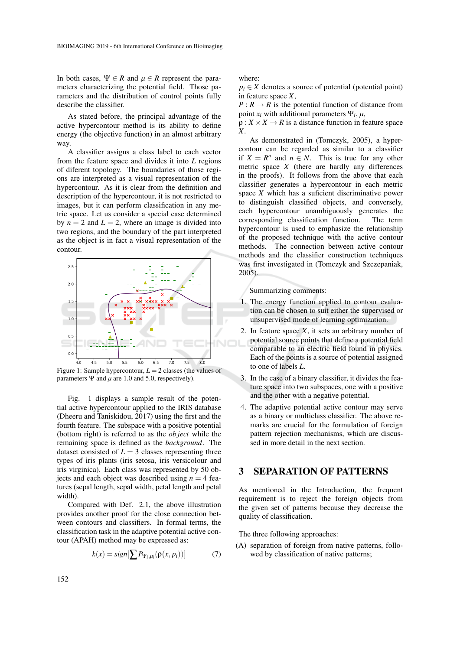In both cases,  $\Psi \in R$  and  $\mu \in R$  represent the parameters characterizing the potential field. Those parameters and the distribution of control points fully describe the classifier.

As stated before, the principal advantage of the active hypercontour method is its ability to define energy (the objective function) in an almost arbitrary way.

A classifier assigns a class label to each vector from the feature space and divides it into *L* regions of diferent topology. The boundaries of those regions are interpreted as a visual representation of the hypercontour. As it is clear from the definition and description of the hypercontour, it is not restricted to images, but it can perform classification in any metric space. Let us consider a special case determined by  $n = 2$  and  $L = 2$ , where an image is divided into two regions, and the boundary of the part interpreted as the object is in fact a visual representation of the contour.



Figure 1: Sample hypercontour, *L* = 2 classes (the values of parameters  $\Psi$  and  $\mu$  are 1.0 and 5.0, respectively).

Fig. 1 displays a sample result of the potential active hypercontour applied to the IRIS database (Dheeru and Taniskidou, 2017) using the first and the fourth feature. The subspace with a positive potential (bottom right) is referred to as the *ob ject* while the remaining space is defined as the *background*. The dataset consisted of  $L = 3$  classes representing three types of iris plants (iris setosa, iris versicolour and iris virginica). Each class was represented by 50 objects and each object was described using  $n = 4$  features (sepal length, sepal width, petal length and petal width).

Compared with Def. 2.1, the above illustration provides another proof for the close connection between contours and classifiers. In formal terms, the classification task in the adaptive potential active contour (APAH) method may be expressed as:

$$
k(x) = sign[\sum P_{\Psi_i,\mu_i}(\rho(x,p_i))]
$$
(7)

where:

 $p_i \in X$  denotes a source of potential (potential point) in feature space *X*,

 $P: R \to R$  is the potential function of distance from point  $x_i$  with additional parameters  $\Psi_i$ ,  $\mu$ ,

 $\rho: X \times X \to R$  is a distance function in feature space *X*.

As demonstrated in (Tomczyk, 2005), a hypercontour can be regarded as similar to a classifier if  $X = R^n$  and  $n \in N$ . This is true for any other metric space *X* (there are hardly any differences in the proofs). It follows from the above that each classifier generates a hypercontour in each metric space *X* which has a suficient discriminative power to distinguish classified objects, and conversely, each hypercontour unambiguously generates the corresponding classification function. The term hypercontour is used to emphasize the relationship of the proposed technique with the active contour methods. The connection between active contour methods and the classifier construction techniques was first investigated in (Tomczyk and Szczepaniak, 2005).

Summarizing comments:

- 1. The energy function applied to contour evaluation can be chosen to suit either the supervised or unsupervised mode of learning optimization.
- 2. In feature space  $X$ , it sets an arbitrary number of potential source points that define a potential field comparable to an electric field found in physics. Each of the points is a source of potential assigned to one of labels *L*.
- 3. In the case of a binary classifier, it divides the feature space into two subspaces, one with a positive and the other with a negative potential.
- 4. The adaptive potential active contour may serve as a binary or multiclass classifier. The above remarks are crucial for the formulation of foreign pattern rejection mechanisms, which are discussed in more detail in the next section.

#### 3 SEPARATION OF PATTERNS

As mentioned in the Introduction, the frequent requirement is to reject the foreign objects from the given set of patterns because they decrease the quality of classification.

The three following approaches:

(A) separation of foreign from native patterns, followed by classification of native patterns;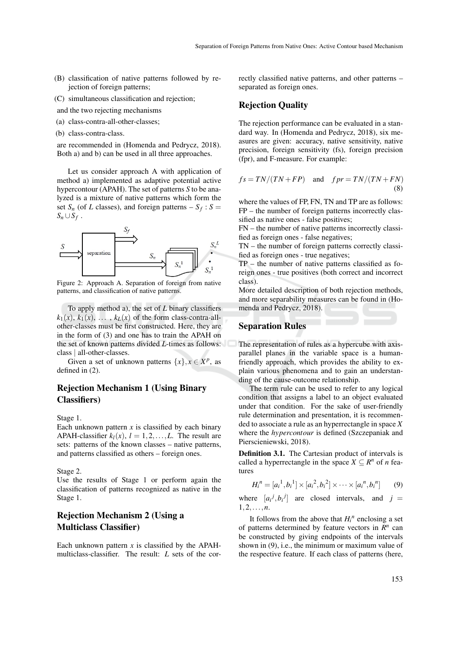- (B) classification of native patterns followed by rejection of foreign patterns;
- (C) simultaneous classification and rejection;
- and the two rejecting mechanisms
- (a) class-contra-all-other-classes;
- (b) class-contra-class.

are recommended in (Homenda and Pedrycz, 2018). Both a) and b) can be used in all three approaches.

Let us consider approach A with application of method a) implemented as adaptive potential active hypercontour (APAH). The set of patterns *S* to be analyzed is a mixture of native patterns which form the set  $S_n$  (of *L* classes), and foreign patterns  $-S_f : S =$  $S_n \cup S_f$ .



Figure 2: Approach A. Separation of foreign from native patterns, and classification of native patterns.

To apply method a), the set of *L* binary classifiers  $k_1(x)$ ,  $k_1(x)$ , ...,  $k_L(x)$  of the form class-contra-allother-classes must be first constructed. Here, they are in the form of (3) and one has to train the APAH on the set of known patterns divided *L*-times as follows: class | all-other-classes.

Given a set of unknown patterns  $\{x\}$ ,  $x \in X^p$ , as defined in (2).

### Rejection Mechanism 1 (Using Binary Classifiers)

Stage 1.

Each unknown pattern  $x$  is classified by each binary APAH-classifier  $k_l(x)$ ,  $l = 1, 2, \ldots, L$ . The result are sets: patterns of the known classes – native patterns, and patterns classified as others – foreign ones.

Stage 2.

Use the results of Stage 1 or perform again the classification of patterns recognized as native in the Stage 1.

### Rejection Mechanism 2 (Using a Multiclass Classifier)

Each unknown pattern  $x$  is classified by the APAHmulticlass-classifier. The result: *L* sets of the correctly classified native patterns, and other patterns – separated as foreign ones.

#### Rejection Quality

The rejection performance can be evaluated in a standard way. In (Homenda and Pedrycz, 2018), six measures are given: accuracy, native sensitivity, native precision, foreign sensitivity (fs), foreign precision (fpr), and F-measure. For example:

$$
fs = TN/(TN + FP) \quad \text{and} \quad fpr = TN/(TN + FN)
$$
\n(8)

where the values of FP, FN, TN and TP are as follows: FP – the number of foreign patterns incorrectly classified as native ones - false positives;

FN – the number of native patterns incorrectly classified as foreign ones - false negatives;

TN – the number of foreign patterns correctly classified as foreign ones - true negatives;

TP – the number of native patterns classified as foreign ones - true positives (both correct and incorrect class).

More detailed description of both rejection methods, and more separability measures can be found in (Homenda and Pedrycz, 2018).

#### Separation Rules

The representation of rules as a hypercube with axisparallel planes in the variable space is a humanfriendly approach, which provides the ability to explain various phenomena and to gain an understanding of the cause-outcome relationship.

The term rule can be used to refer to any logical condition that assigns a label to an object evaluated under that condition. For the sake of user-friendly rule determination and presentation, it is recommended to associate a rule as an hyperrectangle in space *X* where the *hypercontour* is defined (Szczepaniak and Pierscieniewski, 2018).

Definition 3.1. The Cartesian product of intervals is called a hyperrectangle in the space  $X \subseteq R^n$  of *n* features

$$
H_i^n = [a_i^1, b_i^1] \times [a_i^2, b_i^2] \times \cdots \times [a_i^m, b_i^n]
$$
(9)

where  $[a_i^j, b_i^j]$  are closed intervals, and  $j =$ 1,2,...,*n*.

It follows from the above that  $H_i^n$  enclosing a set of patterns determined by feature vectors in  $\mathbb{R}^n$  can be constructed by giving endpoints of the intervals shown in (9), i.e., the minimum or maximum value of the respective feature. If each class of patterns (here,